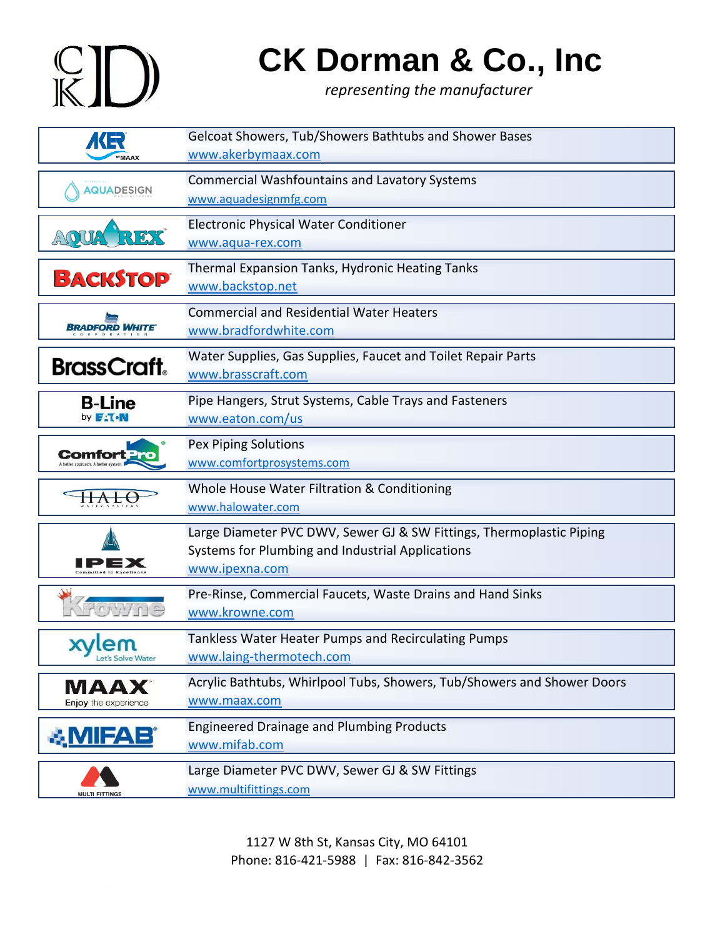# $K$ D

#### **CK Dorman & Co., Inc**

*representing the manufacturer*

| (キ<br><b>MAAX</b>                   | Gelcoat Showers, Tub/Showers Bathtubs and Shower Bases<br>www.akerbymaax.com                                                               |
|-------------------------------------|--------------------------------------------------------------------------------------------------------------------------------------------|
| <b>AQUADESIGN</b>                   | <b>Commercial Washfountains and Lavatory Systems</b><br>www.aquadesignmfg.com                                                              |
| RD S                                | <b>Electronic Physical Water Conditioner</b><br>www.aqua-rex.com                                                                           |
| <b>BACKSTOP</b>                     | Thermal Expansion Tanks, Hydronic Heating Tanks<br>www.backstop.net                                                                        |
| BRADFORD WHITE                      | <b>Commercial and Residential Water Heaters</b><br>www.bradfordwhite.com                                                                   |
| <b>BrassCraft.</b>                  | Water Supplies, Gas Supplies, Faucet and Toilet Repair Parts<br>www.brasscraft.com                                                         |
| <b>B-Line</b><br>by <b>FITOM</b>    | Pipe Hangers, Strut Systems, Cable Trays and Fasteners<br>www.eaton.com/us                                                                 |
|                                     | Pex Piping Solutions<br>www.comfortprosystems.com                                                                                          |
|                                     | Whole House Water Filtration & Conditioning<br>www.halowater.com                                                                           |
|                                     | Large Diameter PVC DWV, Sewer GJ & SW Fittings, Thermoplastic Piping<br>Systems for Plumbing and Industrial Applications<br>www.ipexna.com |
|                                     | Pre-Rinse, Commercial Faucets, Waste Drains and Hand Sinks<br>www.krowne.com                                                               |
| xvlem<br>Let's Solve Water          | Tankless Water Heater Pumps and Recirculating Pumps<br>www.laing-thermotech.com                                                            |
| <b>MAAX</b><br>Enjoy the experience | Acrylic Bathtubs, Whirlpool Tubs, Showers, Tub/Showers and Shower Doors<br>www.maax.com                                                    |
| <b>&amp; MIFAB</b>                  | <b>Engineered Drainage and Plumbing Products</b><br>www.mifab.com                                                                          |
|                                     | Large Diameter PVC DWV, Sewer GJ & SW Fittings<br>www.multifittings.com                                                                    |

1127 W 8th St, Kansas City, MO 64101 Phone: 816-421-5988 | Fax: 816-842-3562